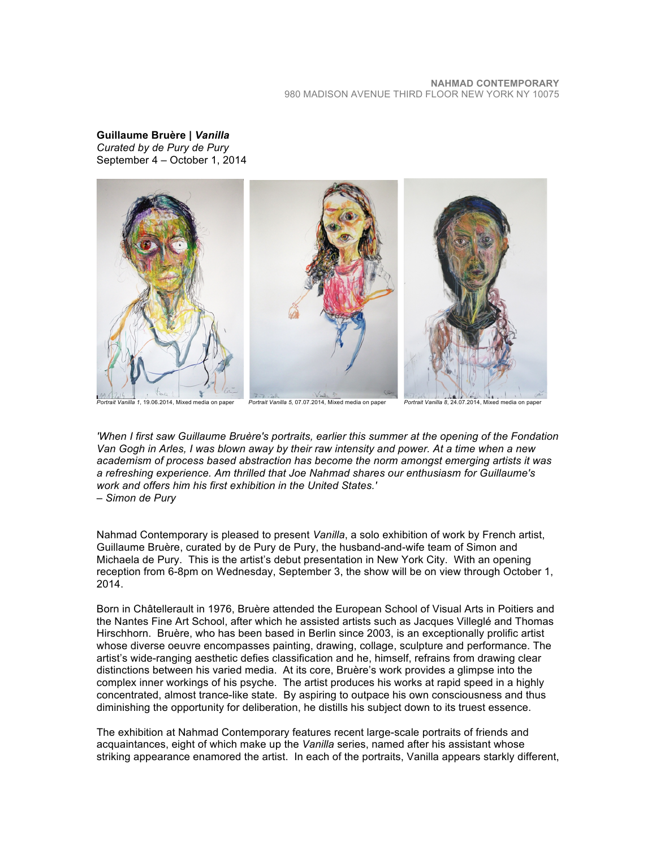**Guillaume Bruère |** *Vanilla Curated by de Pury de Pury* September 4 – October 1, 2014



*'When I first saw Guillaume Bruère's portraits, earlier this summer at the opening of the Fondation Van Gogh in Arles, I was blown away by their raw intensity and power. At a time when a new academism of process based abstraction has become the norm amongst emerging artists it was a refreshing experience. Am thrilled that Joe Nahmad shares our enthusiasm for Guillaume's work and offers him his first exhibition in the United States.' – Simon de Pury*

Nahmad Contemporary is pleased to present *Vanilla*, a solo exhibition of work by French artist, Guillaume Bruère, curated by de Pury de Pury, the husband-and-wife team of Simon and Michaela de Pury. This is the artist's debut presentation in New York City. With an opening reception from 6-8pm on Wednesday, September 3, the show will be on view through October 1, 2014.

Born in Châtellerault in 1976, Bruère attended the European School of Visual Arts in Poitiers and the Nantes Fine Art School, after which he assisted artists such as Jacques Villeglé and Thomas Hirschhorn. Bruère, who has been based in Berlin since 2003, is an exceptionally prolific artist whose diverse oeuvre encompasses painting, drawing, collage, sculpture and performance. The artist's wide-ranging aesthetic defies classification and he, himself, refrains from drawing clear distinctions between his varied media. At its core, Bruère's work provides a glimpse into the complex inner workings of his psyche. The artist produces his works at rapid speed in a highly concentrated, almost trance-like state. By aspiring to outpace his own consciousness and thus diminishing the opportunity for deliberation, he distills his subject down to its truest essence.

The exhibition at Nahmad Contemporary features recent large-scale portraits of friends and acquaintances, eight of which make up the *Vanilla* series, named after his assistant whose striking appearance enamored the artist. In each of the portraits, Vanilla appears starkly different,